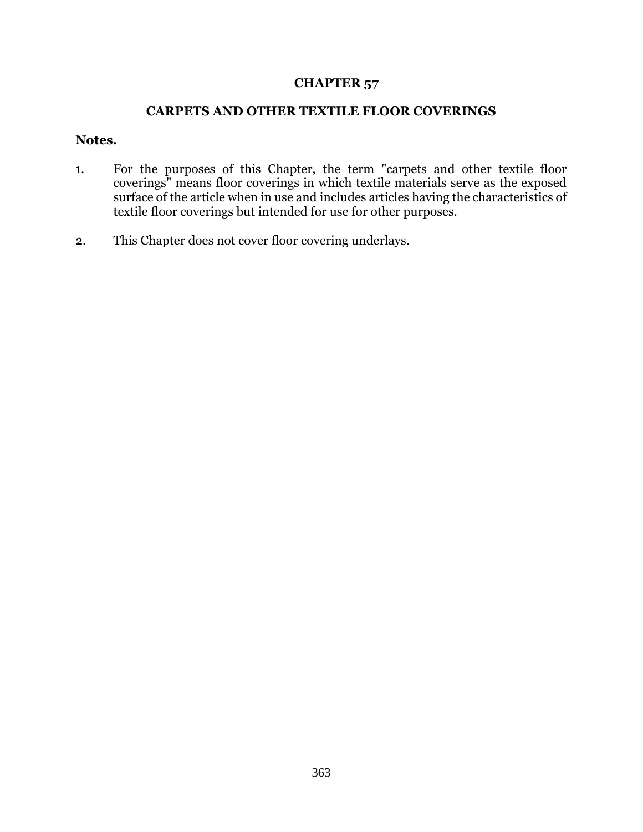## **CHAPTER 57**

## **CARPETS AND OTHER TEXTILE FLOOR COVERINGS**

## **Notes.**

- 1. For the purposes of this Chapter, the term "carpets and other textile floor coverings" means floor coverings in which textile materials serve as the exposed surface of the article when in use and includes articles having the characteristics of textile floor coverings but intended for use for other purposes.
- 2. This Chapter does not cover floor covering underlays.